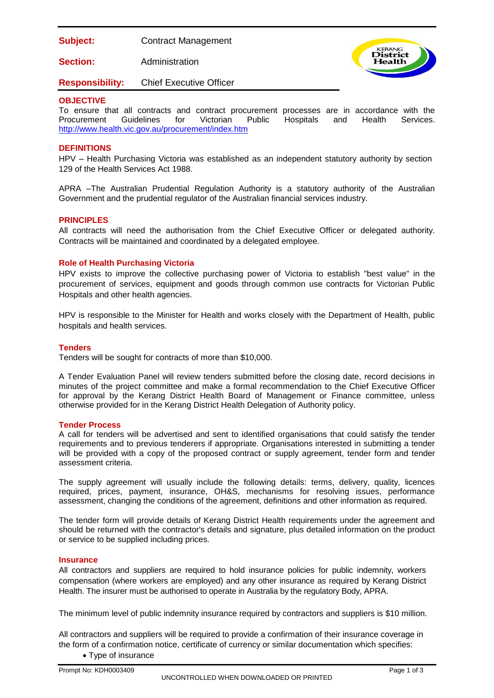**Subject:** Contract Management

**Section:** Administration



# **Responsibility:** Chief Executive Officer

## **OBJECTIVE**

To ensure that all contracts and contract procurement processes are in accordance with the Procurement Guidelines for Victorian Public Hospitals and Health Services. Procurement Guidelines for Victorian Public Hospitals and <http://www.health.vic.gov.au/procurement/index.htm>

## **DEFINITIONS**

HPV – Health Purchasing Victoria was established as an independent statutory authority by section 129 of the Health Services Act 1988.

APRA –The Australian Prudential Regulation Authority is a statutory authority of the Australian Government and the prudential regulator of the Australian financial services industry.

#### **PRINCIPLES**

All contracts will need the authorisation from the Chief Executive Officer or delegated authority. Contracts will be maintained and coordinated by a delegated employee.

## **Role of Health Purchasing Victoria**

HPV exists to improve the collective purchasing power of Victoria to establish "best value" in the procurement of services, equipment and goods through common use contracts for Victorian Public Hospitals and other health agencies.

HPV is responsible to the Minister for Health and works closely with the Department of Health, public hospitals and health services.

#### **Tenders**

Tenders will be sought for contracts of more than \$10,000.

A Tender Evaluation Panel will review tenders submitted before the closing date, record decisions in minutes of the project committee and make a formal recommendation to the Chief Executive Officer for approval by the Kerang District Health Board of Management or Finance committee, unless otherwise provided for in the Kerang District Health Delegation of Authority policy.

#### **Tender Process**

A call for tenders will be advertised and sent to identified organisations that could satisfy the tender requirements and to previous tenderers if appropriate. Organisations interested in submitting a tender will be provided with a copy of the proposed contract or supply agreement, tender form and tender assessment criteria.

The supply agreement will usually include the following details: terms, delivery, quality, licences required, prices, payment, insurance, OH&S, mechanisms for resolving issues, performance assessment, changing the conditions of the agreement, definitions and other information as required.

The tender form will provide details of Kerang District Health requirements under the agreement and should be returned with the contractor's details and signature, plus detailed information on the product or service to be supplied including prices.

#### **Insurance**

All contractors and suppliers are required to hold insurance policies for public indemnity, workers compensation (where workers are employed) and any other insurance as required by Kerang District Health. The insurer must be authorised to operate in Australia by the regulatory Body, APRA.

The minimum level of public indemnity insurance required by contractors and suppliers is \$10 million.

All contractors and suppliers will be required to provide a confirmation of their insurance coverage in the form of a confirmation notice, certificate of currency or similar documentation which specifies:

• Type of insurance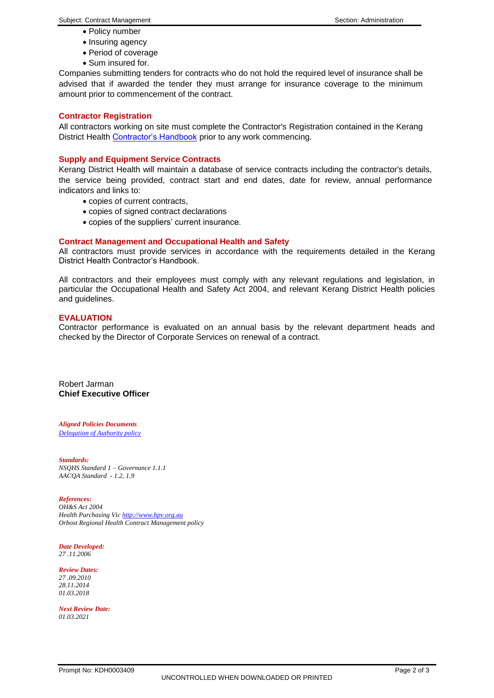- Policy number
- Insuring agency
- Period of coverage
- Sum insured for.

Companies submitting tenders for contracts who do not hold the required level of insurance shall be advised that if awarded the tender they must arrange for insurance coverage to the minimum amount prior to commencement of the contract.

#### **Contractor Registration**

All contractors working on site must complete the Contractor's Registration contained in the Kerang District Health [Contractor's Handbook](https://app.prompt.org.au/download/83596?code=0e057de04df61d278b73bfd33e22419b) prior to any work commencing.

## **Supply and Equipment Service Contracts**

Kerang District Health will maintain a database of service contracts including the contractor's details, the service being provided, contract start and end dates, date for review, annual performance indicators and links to:

- copies of current contracts,
- copies of signed contract declarations
- copies of the suppliers' current insurance.

## **Contract Management and Occupational Health and Safety**

All contractors must provide services in accordance with the requirements detailed in the Kerang District Health Contractor's Handbook.

All contractors and their employees must comply with any relevant regulations and legislation, in particular the Occupational Health and Safety Act 2004, and relevant Kerang District Health policies and guidelines.

#### **EVALUATION**

Contractor performance is evaluated on an annual basis by the relevant department heads and checked by the Director of Corporate Services on renewal of a contract.

Robert Jarman **Chief Executive Officer**

*Aligned Policies Documents [Delegation of Authority policy](https://app.prompt.org.au/download/91256?code=0a9eafb6a5a18f6b69cf18049cddc8b0)*

*Standards: NSQHS Standard 1 – Governance 1.1.1 AACQA Standard - 1.2, 1.9*

*References: OH&S Act 2004 Health Purchasing Vi[c http://www.hpv.org.au](http://www.hpv.org.au/) Orbost Regional Health Contract Management policy*

*Date Developed: 27 .11.2006*

*Review Dates: 27 .09.2010 28.11.2014 01.03.2018*

*Next Review Date: 01.03.2021*